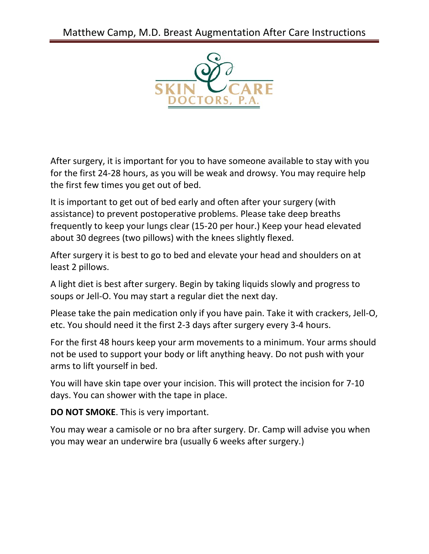Matthew Camp, M.D. Breast Augmentation After Care Instructions



After surgery, it is important for you to have someone available to stay with you for the first 24-28 hours, as you will be weak and drowsy. You may require help the first few times you get out of bed.

It is important to get out of bed early and often after your surgery (with assistance) to prevent postoperative problems. Please take deep breaths frequently to keep your lungs clear (15-20 per hour.) Keep your head elevated about 30 degrees (two pillows) with the knees slightly flexed.

After surgery it is best to go to bed and elevate your head and shoulders on at least 2 pillows.

A light diet is best after surgery. Begin by taking liquids slowly and progress to soups or Jell-O. You may start a regular diet the next day.

Please take the pain medication only if you have pain. Take it with crackers, Jell-O, etc. You should need it the first 2-3 days after surgery every 3-4 hours.

For the first 48 hours keep your arm movements to a minimum. Your arms should not be used to support your body or lift anything heavy. Do not push with your arms to lift yourself in bed.

You will have skin tape over your incision. This will protect the incision for 7-10 days. You can shower with the tape in place.

**DO NOT SMOKE**. This is very important.

You may wear a camisole or no bra after surgery. Dr. Camp will advise you when you may wear an underwire bra (usually 6 weeks after surgery.)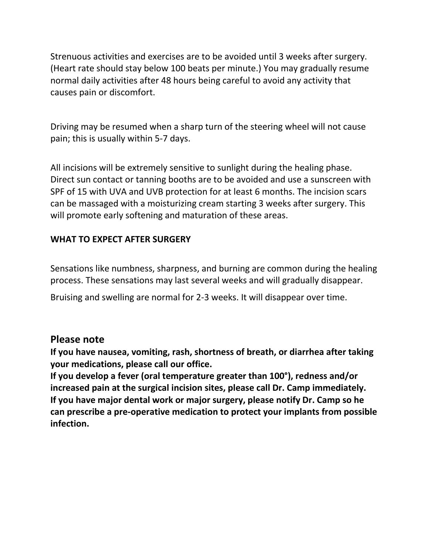Strenuous activities and exercises are to be avoided until 3 weeks after surgery. (Heart rate should stay below 100 beats per minute.) You may gradually resume normal daily activities after 48 hours being careful to avoid any activity that causes pain or discomfort.

Driving may be resumed when a sharp turn of the steering wheel will not cause pain; this is usually within 5-7 days.

All incisions will be extremely sensitive to sunlight during the healing phase. Direct sun contact or tanning booths are to be avoided and use a sunscreen with SPF of 15 with UVA and UVB protection for at least 6 months. The incision scars can be massaged with a moisturizing cream starting 3 weeks after surgery. This will promote early softening and maturation of these areas.

## **WHAT TO EXPECT AFTER SURGERY**

Sensations like numbness, sharpness, and burning are common during the healing process. These sensations may last several weeks and will gradually disappear.

Bruising and swelling are normal for 2-3 weeks. It will disappear over time.

## **Please note**

**If you have nausea, vomiting, rash, shortness of breath, or diarrhea after taking your medications, please call our office.** 

**If you develop a fever (oral temperature greater than 100°), redness and/or increased pain at the surgical incision sites, please call Dr. Camp immediately. If you have major dental work or major surgery, please notify Dr. Camp so he can prescribe a pre-operative medication to protect your implants from possible infection.**